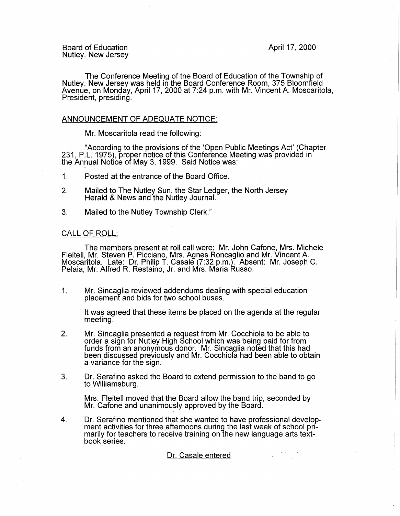Board of Education Nutley, New Jersey April 17, 2000

The Conference Meeting of the Board of Education of the Township of Nutley, New Jersey was held in the Board Conference Room, 375 Bloomfield Avenue, on Monday, April 17, 2000 at 7:24 p.m. with Mr. Vincent A. Moscaritola, President, presiding.

## ANNOUNCEMENT OF ADEQUATE NOTICE:

Mr. Moscaritola read the following:

"According to the provisions of the 'Open Public Meetings Act' (Chapter 231, P.L. 1975), proper notice of this Conference Meeting was provided in the Annual Notice of May 3, 1999. Said Notice was:

- 1. Posted at the entrance of the Board Office.
- 2. Mailed to The Nutley Sun, the Star Ledger, the North Jersey Herald & News and the Nutley Journal.
- 3. Mailed to the Nutley Township Clerk."

# CALL OF ROLL:

The members present at roll call were: Mr. John Cafone, Mrs. Michele Fleitell, Mr. Steven P. Picciano, Mrs. Agnes Roncaglio and Mr. Vincent A.<br>Moscaritola. Late: Dr. Philip T. Casale (7:32 p.m.). Absent: Mr. Joseph C. Pelaia, Mr. Alfred R. Restaino, Jr. and Mrs. Maria Russo.

1. Mr. Sincaglia reviewed addendums dealing with special education placement and bids for two school buses.

It was agreed that these items be placed on the agenda at the regular meeting.

- 2. Mr. Sincaglia presented a request from Mr. Cocchiola to be able to order a sign for Nutley High School which was being paid for from funds from an anonymous donor. Mr. Sincaglia noted that this had been discussed previously and Mr. Cocchiola had been able to obtain a variance for the sign.
- 3. Dr. Serafino asked the Board to extend permission to the band to go to Williamsburg.

Mrs. Fleitell moved that the Board allow the band trip, seconded by Mr. Cafone and unanimously approved by the Board.

4. Dr. Serafino mentioned that she wanted to have professional development activities for three afternoons during the last week of school primarily for teachers to receive training on the new language arts textbook series.

## Dr. Casale entered